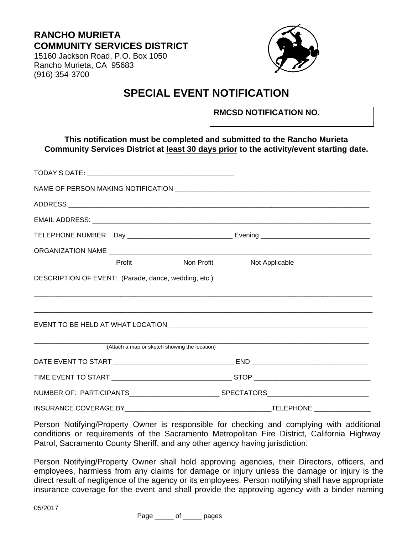## **RANCHO MURIETA COMMUNITY SERVICES DISTRICT**

15160 Jackson Road, P.O. Box 1050 Rancho Murieta, CA 95683 (916) 354-3700



# **SPECIAL EVENT NOTIFICATION**

**RMCSD NOTIFICATION NO.** 

## **This notification must be completed and submitted to the Rancho Murieta Community Services District at least 30 days prior to the activity/event starting date.**

|                                                      | Profit | Non Profit                                    | Not Applicable |  |  |
|------------------------------------------------------|--------|-----------------------------------------------|----------------|--|--|
| DESCRIPTION OF EVENT: (Parade, dance, wedding, etc.) |        |                                               |                |  |  |
|                                                      |        |                                               |                |  |  |
|                                                      |        | (Attach a map or sketch showing the location) |                |  |  |
|                                                      |        |                                               |                |  |  |
|                                                      |        |                                               |                |  |  |
|                                                      |        |                                               |                |  |  |
|                                                      |        |                                               |                |  |  |

Person Notifying/Property Owner is responsible for checking and complying with additional conditions or requirements of the Sacramento Metropolitan Fire District, California Highway Patrol, Sacramento County Sheriff, and any other agency having jurisdiction.

Person Notifying/Property Owner shall hold approving agencies, their Directors, officers, and employees, harmless from any claims for damage or injury unless the damage or injury is the direct result of negligence of the agency or its employees. Person notifying shall have appropriate insurance coverage for the event and shall provide the approving agency with a binder naming

Page \_\_\_\_\_ of \_\_\_\_\_ pages